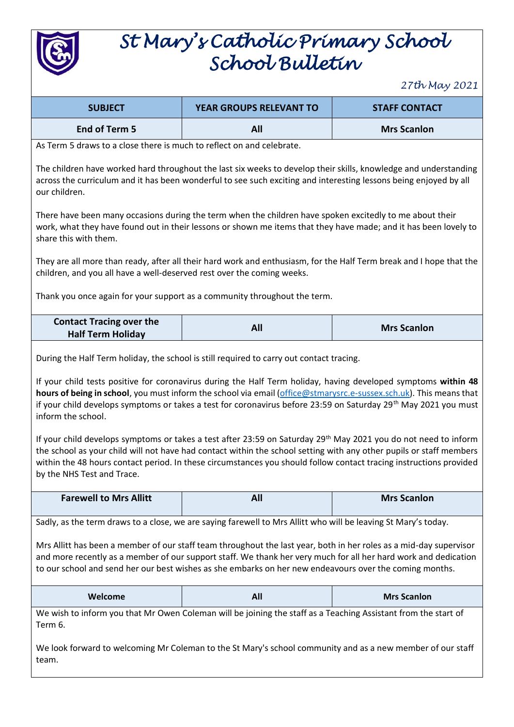

## *St Mary's Catholic Primary School School Bulletin*

*27th May 2021*

|                                                                                                                                                                                                                                                                                                                                                                                                                                                                                       |                                                                                                                | $21$ cry rivey $2021$ |
|---------------------------------------------------------------------------------------------------------------------------------------------------------------------------------------------------------------------------------------------------------------------------------------------------------------------------------------------------------------------------------------------------------------------------------------------------------------------------------------|----------------------------------------------------------------------------------------------------------------|-----------------------|
| <b>SUBJECT</b>                                                                                                                                                                                                                                                                                                                                                                                                                                                                        | YEAR GROUPS RELEVANT TO                                                                                        | <b>STAFF CONTACT</b>  |
| <b>End of Term 5</b>                                                                                                                                                                                                                                                                                                                                                                                                                                                                  | All                                                                                                            | <b>Mrs Scanlon</b>    |
| As Term 5 draws to a close there is much to reflect on and celebrate.                                                                                                                                                                                                                                                                                                                                                                                                                 |                                                                                                                |                       |
| The children have worked hard throughout the last six weeks to develop their skills, knowledge and understanding<br>across the curriculum and it has been wonderful to see such exciting and interesting lessons being enjoyed by all<br>our children.                                                                                                                                                                                                                                |                                                                                                                |                       |
| There have been many occasions during the term when the children have spoken excitedly to me about their<br>work, what they have found out in their lessons or shown me items that they have made; and it has been lovely to<br>share this with them.                                                                                                                                                                                                                                 |                                                                                                                |                       |
| They are all more than ready, after all their hard work and enthusiasm, for the Half Term break and I hope that the<br>children, and you all have a well-deserved rest over the coming weeks.                                                                                                                                                                                                                                                                                         |                                                                                                                |                       |
| Thank you once again for your support as a community throughout the term.                                                                                                                                                                                                                                                                                                                                                                                                             |                                                                                                                |                       |
| <b>Contact Tracing over the</b><br><b>Half Term Holiday</b>                                                                                                                                                                                                                                                                                                                                                                                                                           | All                                                                                                            | <b>Mrs Scanlon</b>    |
| During the Half Term holiday, the school is still required to carry out contact tracing.<br>If your child tests positive for coronavirus during the Half Term holiday, having developed symptoms within 48<br>hours of being in school, you must inform the school via email (office@stmarysrc.e-sussex.sch.uk). This means that<br>if your child develops symptoms or takes a test for coronavirus before 23:59 on Saturday 29 <sup>th</sup> May 2021 you must<br>inform the school. |                                                                                                                |                       |
| If your child develops symptoms or takes a test after 23:59 on Saturday 29 <sup>th</sup> May 2021 you do not need to inform<br>the school as your child will not have had contact within the school setting with any other pupils or staff members<br>within the 48 hours contact period. In these circumstances you should follow contact tracing instructions provided<br>by the NHS Test and Trace.                                                                                |                                                                                                                |                       |
| <b>Farewell to Mrs Allitt</b>                                                                                                                                                                                                                                                                                                                                                                                                                                                         | <b>All</b>                                                                                                     | <b>Mrs Scanlon</b>    |
|                                                                                                                                                                                                                                                                                                                                                                                                                                                                                       | Sadly, as the term draws to a close, we are saying farewell to Mrs Allitt who will be leaving St Mary's today. |                       |
| Mrs Allitt has been a member of our staff team throughout the last year, both in her roles as a mid-day supervisor<br>and more recently as a member of our support staff. We thank her very much for all her hard work and dedication<br>to our school and send her our best wishes as she embarks on her new endeavours over the coming months.                                                                                                                                      |                                                                                                                |                       |
| Welcome                                                                                                                                                                                                                                                                                                                                                                                                                                                                               | All                                                                                                            | <b>Mrs Scanlon</b>    |
| Term 6.                                                                                                                                                                                                                                                                                                                                                                                                                                                                               | We wish to inform you that Mr Owen Coleman will be joining the staff as a Teaching Assistant from the start of |                       |
| We look forward to welcoming Mr Coleman to the St Mary's school community and as a new member of our staff<br>team.                                                                                                                                                                                                                                                                                                                                                                   |                                                                                                                |                       |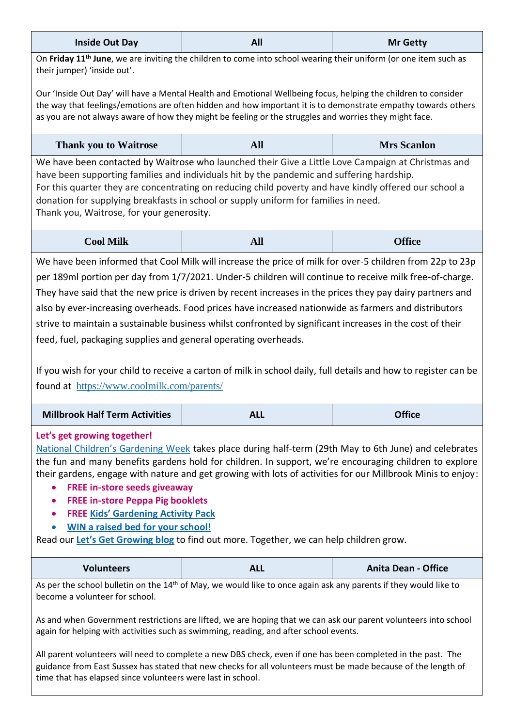| <b>Inside Out Day</b> | All | <b>Mr Getty</b> |
|-----------------------|-----|-----------------|
|                       |     |                 |

On **Friday 11th June**, we are inviting the children to come into school wearing their uniform (or one item such as their jumper) 'inside out'.

Our 'Inside Out Day' will have a Mental Health and Emotional Wellbeing focus, helping the children to consider the way that feelings/emotions are often hidden and how important it is to demonstrate empathy towards others as you are not always aware of how they might be feeling or the struggles and worries they might face.

| <b>Thank you to Waitrose</b> | All | <b>Mrs Scanlon</b> |
|------------------------------|-----|--------------------|
|------------------------------|-----|--------------------|

We have been contacted by Waitrose who launched their Give a Little Love Campaign at Christmas and have been supporting families and individuals hit by the pandemic and suffering hardship. For this quarter they are concentrating on reducing child poverty and have kindly offered our school a donation for supplying breakfasts in school or supply uniform for families in need. Thank you, Waitrose, for your generosity.

| <b>Cool Milk</b> | $\sim$<br>лш | <b>Office</b> |
|------------------|--------------|---------------|
|------------------|--------------|---------------|

We have been informed that Cool Milk will increase the price of milk for over-5 children from 22p to 23p per 189ml portion per day from 1/7/2021. Under-5 children will continue to receive milk free-of-charge. They have said that the new price is driven by recent increases in the prices they pay dairy partners and also by ever-increasing overheads. Food prices have increased nationwide as farmers and distributors strive to maintain a sustainable business whilst confronted by significant increases in the cost of their feed, fuel, packaging supplies and general operating overheads.

If you wish for your child to receive a carton of milk in school daily, full details and how to register can be found at <https://www.coolmilk.com/parents/>

| <b>Millbrook Half Term Activities</b> | ™ AL∟ | Office |
|---------------------------------------|-------|--------|
|---------------------------------------|-------|--------|

## **Let's get growing together!**

[National Children's Gardening Week](http://v3su.mjt.lu/lnk/EAAAAcYjZRwAAcryIooAAAU7ZFwAAAABx0EAAAAAAAa3iwBgp-4j76xEpGbfRw25eB_QmgAMcgAGbNo/1/qnJVdQOwC4jZu-z7TyRhFA/aHR0cHM6Ly93d3cuY2hpbGRyZW5zZ2FyZGVuaW5nd2Vlay5jby51ay8) takes place during half-term (29th May to 6th June) and celebrates the fun and many benefits gardens hold for children. In support, we're encouraging children to explore their gardens, engage with nature and get growing with lots of activities for our Millbrook Minis to enjoy:

- **FREE in-store seeds giveaway**
- **FREE in-store Peppa Pig booklets**
- **FREE [Kids' Gardening Activity Pack](http://v3su.mjt.lu/lnk/EAAAAcYjZRwAAcryIooAAAU7ZFwAAAABx0EAAAAAAAa3iwBgp-4j76xEpGbfRw25eB_QmgAMcgAGbNo/2/HCuzH9pKywITN3PmrJCkSg/aHR0cHM6Ly93d3cubWlsbGJyb29rZ2MuY28udWsvd3AtY29udGVudC91cGxvYWRzLzIwMjEvMDUvTU0tS2lkcy1HYXJkZW5pbmctUGFjay5wZGY)**
- **[WIN a raised bed for your school!](http://v3su.mjt.lu/lnk/EAAAAcYjZRwAAcryIooAAAU7ZFwAAAABx0EAAAAAAAa3iwBgp-4j76xEpGbfRw25eB_QmgAMcgAGbNo/3/ZQ3zPnvID5pnWGEMpJ7syw/aHR0cHM6Ly93d3cubWlsbGJyb29rZ2MuY28udWsvd3AtY29udGVudC91cGxvYWRzLzIwMjEvMDUvV2luLWEtcmFpc2VkLWJlZC1jb21wZXRpdGlvbi1pbmZvLTEucGRm)**

Read our **[Let's Get Growing blog](http://v3su.mjt.lu/lnk/EAAAAcYjZRwAAcryIooAAAU7ZFwAAAABx0EAAAAAAAa3iwBgp-4j76xEpGbfRw25eB_QmgAMcgAGbNo/4/jglgJBAJ3H4GpYuHtWqsvg/aHR0cHM6Ly93d3cubWlsbGJyb29rZ2MuY28udWsvcG9zdC9sZXRzLWdldC1ncm93aW5n)** to find out more. Together, we can help children grow.

| <b>Volunteers</b> | <b>ALL</b> | <b>Anita Dean - Office</b> |
|-------------------|------------|----------------------------|
|-------------------|------------|----------------------------|

As per the school bulletin on the 14<sup>th</sup> of May, we would like to once again ask any parents if they would like to become a volunteer for school.

As and when Government restrictions are lifted, we are hoping that we can ask our parent volunteers into school again for helping with activities such as swimming, reading, and after school events.

All parent volunteers will need to complete a new DBS check, even if one has been completed in the past. The guidance from East Sussex has stated that new checks for all volunteers must be made because of the length of time that has elapsed since volunteers were last in school.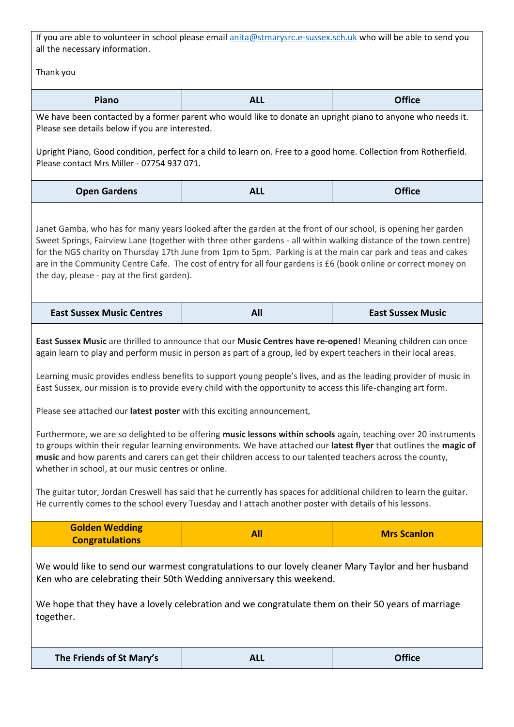If you are able to volunteer in school please email **anita@stmarysrc.e-sussex.sch.uk** who will be able to send you all the necessary information.

Thank you

| Piano                                                                                                                                                                                                                                                                                                                                                                                                                                                                                                                                                                                                                                                                                                                                                                                                                                                                                                                                                                                                                                                                                                                                                                                             | <b>ALL</b> | <b>Office</b>            |  |
|---------------------------------------------------------------------------------------------------------------------------------------------------------------------------------------------------------------------------------------------------------------------------------------------------------------------------------------------------------------------------------------------------------------------------------------------------------------------------------------------------------------------------------------------------------------------------------------------------------------------------------------------------------------------------------------------------------------------------------------------------------------------------------------------------------------------------------------------------------------------------------------------------------------------------------------------------------------------------------------------------------------------------------------------------------------------------------------------------------------------------------------------------------------------------------------------------|------------|--------------------------|--|
| We have been contacted by a former parent who would like to donate an upright piano to anyone who needs it.<br>Please see details below if you are interested.                                                                                                                                                                                                                                                                                                                                                                                                                                                                                                                                                                                                                                                                                                                                                                                                                                                                                                                                                                                                                                    |            |                          |  |
| Upright Piano, Good condition, perfect for a child to learn on. Free to a good home. Collection from Rotherfield.<br>Please contact Mrs Miller - 07754 937 071.                                                                                                                                                                                                                                                                                                                                                                                                                                                                                                                                                                                                                                                                                                                                                                                                                                                                                                                                                                                                                                   |            |                          |  |
| <b>Open Gardens</b>                                                                                                                                                                                                                                                                                                                                                                                                                                                                                                                                                                                                                                                                                                                                                                                                                                                                                                                                                                                                                                                                                                                                                                               | <b>ALL</b> | <b>Office</b>            |  |
| Janet Gamba, who has for many years looked after the garden at the front of our school, is opening her garden<br>Sweet Springs, Fairview Lane (together with three other gardens - all within walking distance of the town centre)<br>for the NGS charity on Thursday 17th June from 1pm to 5pm. Parking is at the main car park and teas and cakes<br>are in the Community Centre Cafe. The cost of entry for all four gardens is £6 (book online or correct money on<br>the day, please - pay at the first garden).                                                                                                                                                                                                                                                                                                                                                                                                                                                                                                                                                                                                                                                                             |            |                          |  |
| <b>East Sussex Music Centres</b>                                                                                                                                                                                                                                                                                                                                                                                                                                                                                                                                                                                                                                                                                                                                                                                                                                                                                                                                                                                                                                                                                                                                                                  | All        | <b>East Sussex Music</b> |  |
| East Sussex Music are thrilled to announce that our Music Centres have re-opened! Meaning children can once<br>again learn to play and perform music in person as part of a group, led by expert teachers in their local areas.<br>Learning music provides endless benefits to support young people's lives, and as the leading provider of music in<br>East Sussex, our mission is to provide every child with the opportunity to access this life-changing art form.<br>Please see attached our latest poster with this exciting announcement,<br>Furthermore, we are so delighted to be offering music lessons within schools again, teaching over 20 instruments<br>to groups within their regular learning environments. We have attached our latest flyer that outlines the magic of<br>music and how parents and carers can get their children access to our talented teachers across the county,<br>whether in school, at our music centres or online.<br>The guitar tutor, Jordan Creswell has said that he currently has spaces for additional children to learn the guitar.<br>He currently comes to the school every Tuesday and I attach another poster with details of his lessons. |            |                          |  |
| <b>Golden Wedding</b><br><b>Congratulations</b>                                                                                                                                                                                                                                                                                                                                                                                                                                                                                                                                                                                                                                                                                                                                                                                                                                                                                                                                                                                                                                                                                                                                                   | <b>All</b> | <b>Mrs Scanlon</b>       |  |
| We would like to send our warmest congratulations to our lovely cleaner Mary Taylor and her husband<br>Ken who are celebrating their 50th Wedding anniversary this weekend.<br>We hope that they have a lovely celebration and we congratulate them on their 50 years of marriage<br>together.                                                                                                                                                                                                                                                                                                                                                                                                                                                                                                                                                                                                                                                                                                                                                                                                                                                                                                    |            |                          |  |
| The Friends of St Mary's                                                                                                                                                                                                                                                                                                                                                                                                                                                                                                                                                                                                                                                                                                                                                                                                                                                                                                                                                                                                                                                                                                                                                                          | <b>ALL</b> | <b>Office</b>            |  |